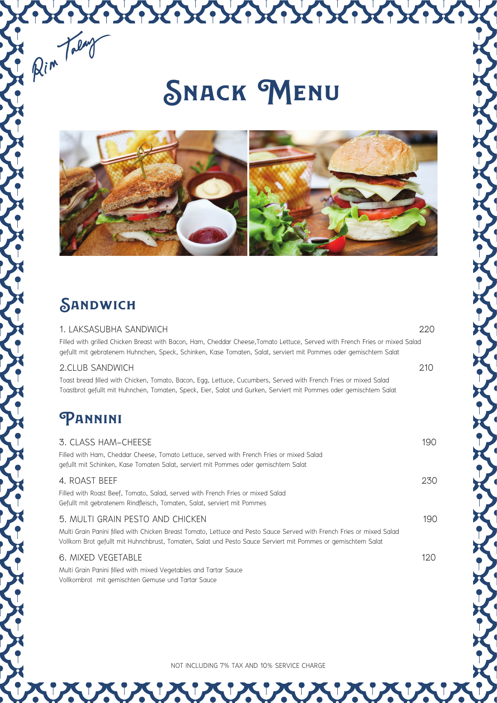# **Snack Menu**

KOKOKOKOKOKOKOKOKOK



## **SANDWICH**

Rim Talay

#### 1. LAKSASUBHA SANDWICH 220

Filled with grilled Chicken Breast with Bacon, Ham, Cheddar Cheese,Tomato Lettuce, Served with French Fries or mixed Salad gefullt mit gebratenem Huhnchen, Speck, Schinken, Kase Tomaten, Salat, serviert mit Pommes oder gemischtem Salat

#### 2.CLUB SANDWICH 210

Toast bread filled with Chicken, Tomato, Bacon, Egg, Lettuce, Cucumbers, Served with French Fries or mixed Salad Toastbrot gefullt mit Huhnchen, Tomaten, Speck, Eier, Salat und Gurken, Serviert mit Pommes oder gemischtem Salat

### **Pannini**

| 3. CLASS HAM-CHEESE<br>Filled with Ham, Cheddar Cheese, Tomato Lettuce, served with French Fries or mixed Salad<br>gefullt mit Schinken, Kase Tomaten Salat, serviert mit Pommes oder gemischtem Salat                                                                     | 190  |
|----------------------------------------------------------------------------------------------------------------------------------------------------------------------------------------------------------------------------------------------------------------------------|------|
| 4. ROAST BEEF<br>Filled with Roast Beef, Tomato, Salad, served with French Fries or mixed Salad<br>Gefullt mit gebratenem Rindfleisch, Tomaten, Salat, serviert mit Pommes                                                                                                 | 230  |
| 5. MULTI GRAIN PESTO AND CHICKEN<br>Multi Grain Panini filled with Chicken Breast Tomato, Lettuce and Pesto Sauce Served with French Fries or mixed Salad<br>Vollkorn Brot gefullt mit Huhnchbrust, Tomaten, Salat und Pesto Sauce Serviert mit Pommes or gemischtem Salat | 190  |
| 6. MIXED VEGETABLE<br>Multi Grain Panini filled with mixed Vegetables and Tartar Sauce<br>Vollkornbrot mit gemischten Gemuse und Tartar Sauce                                                                                                                              | 120. |

NOT INCLUDING 7% TAX AND 10% SERVICE CHARGE